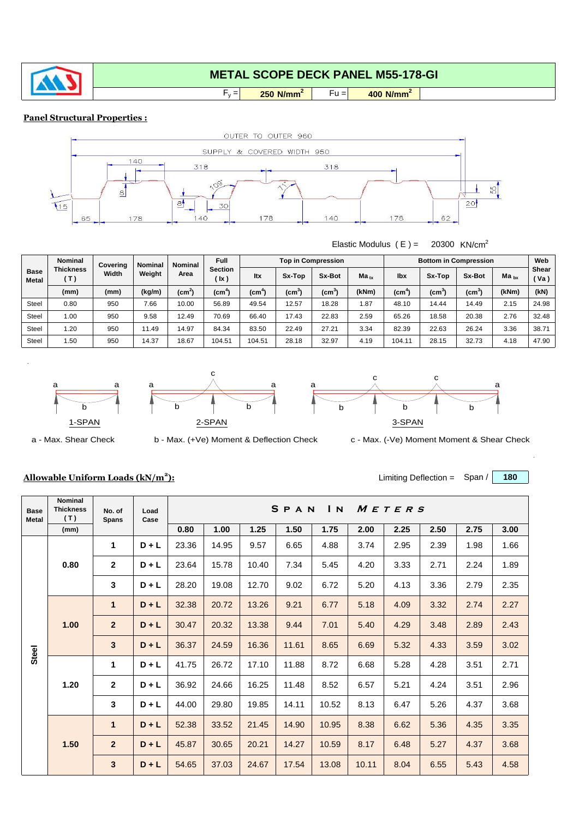

# **METAL SCOPE DECK PANEL M55-178-GI**

 $F_y =$  $250 \text{ N/mm}^2$  Fu =  $400 \text{ N/mm}^2$ 

### **Panel Structural Properties :**



#### Elastic Modulus  $(E) = 20300$  KN/cm<sup>2</sup>

| <b>Base</b><br><b>Metal</b> | <b>Nominal</b>          | Coverina | <b>Nominal</b><br>Weight | <b>Nominal</b> | <b>Full</b><br><b>Section</b><br>(lx) |                  |                             | <b>Top in Compression</b> |           | <b>Bottom in Compression</b> | Web               |               |           |                      |
|-----------------------------|-------------------------|----------|--------------------------|----------------|---------------------------------------|------------------|-----------------------------|---------------------------|-----------|------------------------------|-------------------|---------------|-----------|----------------------|
|                             | <b>Thickness</b><br>(T) | Width    |                          | Area           |                                       | <b>Itx</b>       | Sx-Top                      | Sx-Bot                    | $Ma_{tx}$ | lbx                          | Sx-Top            | <b>Sx-Bot</b> | $Ma_{bx}$ | <b>Shear</b><br>(Va) |
|                             | (mm)                    | (mm)     | (kg/m)                   | $(cm^2)$       | (cm <sup>-</sup>                      | (cm <sup>-</sup> | $\mathsf{(cm}^{\mathsf{c}}$ | (cm°                      | (kNm)     | (cm¯                         | $\mathsf{(cm}^3)$ | $\text{(cm)}$ | (kNm)     | (kN)                 |
| <b>Steel</b>                | 0.80                    | 950      | 7.66                     | 10.00          | 56.89                                 | 49.54            | 12.57                       | 18.28                     | 1.87      | 48.10                        | 14.44             | 14.49         | 2.15      | 24.98                |
| <b>Steel</b>                | 1.00                    | 950      | 9.58                     | 12.49          | 70.69                                 | 66.40            | 17.43                       | 22.83                     | 2.59      | 65.26                        | 18.58             | 20.38         | 2.76      | 32.48                |
| <b>Steel</b>                | 1.20                    | 950      | 11.49                    | 14.97          | 84.34                                 | 83.50            | 22.49                       | 27.21                     | 3.34      | 82.39                        | 22.63             | 26.24         | 3.36      | 38.71                |
| <b>Steel</b>                | .50                     | 950      | 14.37                    | 18.67          | 104.51                                | 104.51           | 28.18                       | 32.97                     | 4.19      | 104.11                       | 28.15             | 32.73         | 4.18      | 47.90                |





a



a - Max. Shear Check b - Max. (+Ve) Moment & Deflection Check c - Max. (-Ve) Moment Moment & Shear Check

## **Allowable Uniform Loads (kN/m<sup>2</sup>**

| ٠.<br>,, | Limiting Deflection = $Span /   180$ |  |  |
|----------|--------------------------------------|--|--|
|----------|--------------------------------------|--|--|

| <b>Base</b><br><b>Metal</b> | <b>Nominal</b><br><b>Thickness</b><br>(T) | No. of<br><b>Spans</b> | Load<br>Case |       |       |       | SPAN  | $\mathbf{I}$ N |       | METERS |      |      |      |
|-----------------------------|-------------------------------------------|------------------------|--------------|-------|-------|-------|-------|----------------|-------|--------|------|------|------|
|                             | (mm)                                      |                        |              | 0.80  | 1.00  | 1.25  | 1.50  | 1.75           | 2.00  | 2.25   | 2.50 | 2.75 | 3.00 |
|                             | 0.80                                      | 1                      | $D + L$      | 23.36 | 14.95 | 9.57  | 6.65  | 4.88           | 3.74  | 2.95   | 2.39 | 1.98 | 1.66 |
|                             |                                           | $\mathbf{2}$           | $D + L$      | 23.64 | 15.78 | 10.40 | 7.34  | 5.45           | 4.20  | 3.33   | 2.71 | 2.24 | 1.89 |
|                             |                                           | 3                      | $D + L$      | 28.20 | 19.08 | 12.70 | 9.02  | 6.72           | 5.20  | 4.13   | 3.36 | 2.79 | 2.35 |
|                             | 1.00                                      | 1                      | $D + L$      | 32.38 | 20.72 | 13.26 | 9.21  | 6.77           | 5.18  | 4.09   | 3.32 | 2.74 | 2.27 |
|                             |                                           | $\overline{2}$         | $D + L$      | 30.47 | 20.32 | 13.38 | 9.44  | 7.01           | 5.40  | 4.29   | 3.48 | 2.89 | 2.43 |
| <b>Steel</b>                |                                           | $\mathbf{3}$           | $D + L$      | 36.37 | 24.59 | 16.36 | 11.61 | 8.65           | 6.69  | 5.32   | 4.33 | 3.59 | 3.02 |
|                             |                                           | 1                      | $D + L$      | 41.75 | 26.72 | 17.10 | 11.88 | 8.72           | 6.68  | 5.28   | 4.28 | 3.51 | 2.71 |
|                             | 1.20                                      | $\mathbf{2}$           | $D + L$      | 36.92 | 24.66 | 16.25 | 11.48 | 8.52           | 6.57  | 5.21   | 4.24 | 3.51 | 2.96 |
|                             |                                           | 3                      | $D + L$      | 44.00 | 29.80 | 19.85 | 14.11 | 10.52          | 8.13  | 6.47   | 5.26 | 4.37 | 3.68 |
|                             |                                           | $\mathbf 1$            | $D + L$      | 52.38 | 33.52 | 21.45 | 14.90 | 10.95          | 8.38  | 6.62   | 5.36 | 4.35 | 3.35 |
|                             | 1.50                                      | $\overline{2}$         | $D + L$      | 45.87 | 30.65 | 20.21 | 14.27 | 10.59          | 8.17  | 6.48   | 5.27 | 4.37 | 3.68 |
|                             |                                           | 3                      | $D + L$      | 54.65 | 37.03 | 24.67 | 17.54 | 13.08          | 10.11 | 8.04   | 6.55 | 5.43 | 4.58 |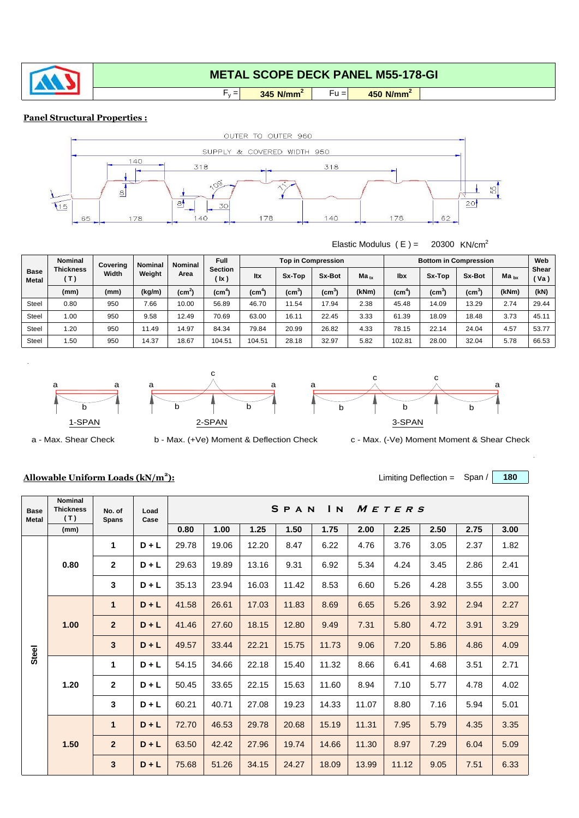

# **METAL SCOPE DECK PANEL M55-178-GI**

 $\begin{array}{|c|c|c|c|c|} \hline \textbf{345 N/mm}^2 & \textbf{Fu} = & \textbf{450 N/mm}^2 \hline \end{array}$ 

### **Panel Structural Properties :**



 $F_y =$ 

#### Elastic Modulus  $(E) = 20300$  KN/cm<sup>2</sup>

| <b>Base</b><br><b>Metal</b> | <b>Nominal</b>                                        | Coverina<br>Width | <b>Nominal</b><br>Weight | <b>Nominal</b> | <b>Full</b>            |                   |                 | <b>Top in Compression</b> |           | <b>Bottom in Compression</b> | Web    |               |           |                            |
|-----------------------------|-------------------------------------------------------|-------------------|--------------------------|----------------|------------------------|-------------------|-----------------|---------------------------|-----------|------------------------------|--------|---------------|-----------|----------------------------|
|                             | <b>Thickness</b><br>$\left( \, \mathsf{T} \, \right)$ |                   |                          | Area           | <b>Section</b><br>(lx) | <b>Itx</b>        | Sx-Top          | Sx-Bot                    | $Ma_{tx}$ | lbx                          | Sx-Top | <b>Sx-Bot</b> | $Ma_{bx}$ | <b>Shear</b><br>$'$ Va $)$ |
|                             | (mm)                                                  | (mm)              | (kg/m)                   | $(cm^2)$       | (cm <sup>-</sup>       | (c <sub>m</sub> ) | $\mathsf{(cm)}$ | (cm <sup>-</sup>          | (kNm)     | (cm <sup>-</sup>             | (cmˇ   | $(cm^3)$      | (kNm)     | (kN)                       |
| Steel                       | 0.80                                                  | 950               | 7.66                     | 10.00          | 56.89                  | 46.70             | 11.54           | 17.94                     | 2.38      | 45.48                        | 14.09  | 13.29         | 2.74      | 29.44                      |
| <b>Steel</b>                | 1.00                                                  | 950               | 9.58                     | 12.49          | 70.69                  | 63.00             | 16.11           | 22.45                     | 3.33      | 61.39                        | 18.09  | 18.48         | 3.73      | 45.11                      |
| <b>Steel</b>                | .20                                                   | 950               | 11.49                    | 14.97          | 84.34                  | 79.84             | 20.99           | 26.82                     | 4.33      | 78.15                        | 22.14  | 24.04         | 4.57      | 53.77                      |
| <b>Steel</b>                | .50                                                   | 950               | 14.37                    | 18.67          | 104.51                 | 104.51            | 28.18           | 32.97                     | 5.82      | 102.81                       | 28.00  | 32.04         | 5.78      | 66.53                      |







a - Max. Shear Check b - Max. (+Ve) Moment & Deflection Check c - Max. (-Ve) Moment Moment & Shear Check

## **Allowable Uniform Loads (kN/m<sup>2</sup>**

| ٠.<br>,, | Limiting Deflection = $Span /   180$ |  |  |
|----------|--------------------------------------|--|--|
|----------|--------------------------------------|--|--|

| <b>Base</b><br><b>Metal</b> | <b>Nominal</b><br><b>Thickness</b><br>(T) | No. of<br><b>Spans</b> | Load<br>Case |       |       |       | SPAN  | $I_{N}$ |       | METERS |      |      |      |
|-----------------------------|-------------------------------------------|------------------------|--------------|-------|-------|-------|-------|---------|-------|--------|------|------|------|
|                             | (mm)                                      |                        |              | 0.80  | 1.00  | 1.25  | 1.50  | 1.75    | 2.00  | 2.25   | 2.50 | 2.75 | 3.00 |
|                             |                                           | 1                      | $D + L$      | 29.78 | 19.06 | 12.20 | 8.47  | 6.22    | 4.76  | 3.76   | 3.05 | 2.37 | 1.82 |
|                             | 0.80<br>1.00                              | $\mathbf{2}$           | $D + L$      | 29.63 | 19.89 | 13.16 | 9.31  | 6.92    | 5.34  | 4.24   | 3.45 | 2.86 | 2.41 |
|                             |                                           | 3                      | $D + L$      | 35.13 | 23.94 | 16.03 | 11.42 | 8.53    | 6.60  | 5.26   | 4.28 | 3.55 | 3.00 |
|                             |                                           | 1                      | $D + L$      | 41.58 | 26.61 | 17.03 | 11.83 | 8.69    | 6.65  | 5.26   | 3.92 | 2.94 | 2.27 |
|                             |                                           | $\overline{2}$         | $D + L$      | 41.46 | 27.60 | 18.15 | 12.80 | 9.49    | 7.31  | 5.80   | 4.72 | 3.91 | 3.29 |
| <b>Steel</b>                |                                           | 3                      | $D + L$      | 49.57 | 33.44 | 22.21 | 15.75 | 11.73   | 9.06  | 7.20   | 5.86 | 4.86 | 4.09 |
|                             |                                           | 1                      | $D + L$      | 54.15 | 34.66 | 22.18 | 15.40 | 11.32   | 8.66  | 6.41   | 4.68 | 3.51 | 2.71 |
|                             | 1.20                                      | $\mathbf 2$            | $D + L$      | 50.45 | 33.65 | 22.15 | 15.63 | 11.60   | 8.94  | 7.10   | 5.77 | 4.78 | 4.02 |
|                             |                                           | 3                      | $D + L$      | 60.21 | 40.71 | 27.08 | 19.23 | 14.33   | 11.07 | 8.80   | 7.16 | 5.94 | 5.01 |
|                             |                                           | $\mathbf{1}$           | $D + L$      | 72.70 | 46.53 | 29.78 | 20.68 | 15.19   | 11.31 | 7.95   | 5.79 | 4.35 | 3.35 |
|                             | 1.50                                      | $\mathbf{2}$           | $D + L$      | 63.50 | 42.42 | 27.96 | 19.74 | 14.66   | 11.30 | 8.97   | 7.29 | 6.04 | 5.09 |
|                             |                                           | 3                      | $D + L$      | 75.68 | 51.26 | 34.15 | 24.27 | 18.09   | 13.99 | 11.12  | 9.05 | 7.51 | 6.33 |